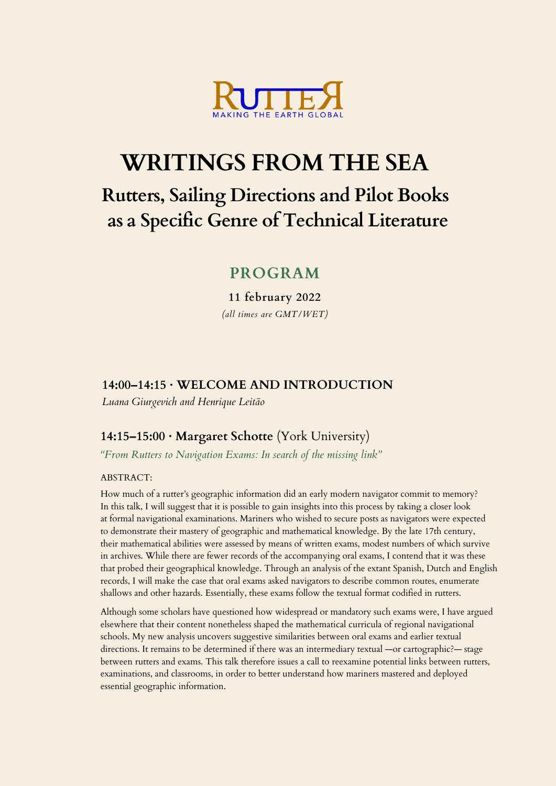

# **WRITINGS FROM THE SEA**

## **Rutters, Sailing Directions and Pilot Books as a Specific Genre of Technical Literature**

## **PROGRAM**

**11 february 2022** *(all times are GMT/WET)*

## **14:00–14:15 · WELCOME AND INTRODUCTION**

*Luana Giurgevich and Henrique Leitão*

## **14:15–15:00 · Margaret Schotte** (York University)

*"From Rutters to Navigation Exams: In search of the missing link"*

### ABSTRACT:

How much of a rutter's geographic information did an early modern navigator commit to memory? In this talk, I will suggest that it is possible to gain insights into this process by taking a closer look at formal navigational examinations. Mariners who wished to secure posts as navigators were expected to demonstrate their mastery of geographic and mathematical knowledge. By the late 17th century, their mathematical abilities were assessed by means of written exams, modest numbers of which survive in archives. While there are fewer records of the accompanying oral exams, I contend that it was these that probed their geographical knowledge. Through an analysis of the extant Spanish, Dutch and English records, I will make the case that oral exams asked navigators to describe common routes, enumerate shallows and other hazards. Essentially, these exams follow the textual format codified in rutters.

Although some scholars have questioned how widespread or mandatory such exams were, I have argued elsewhere that their content nonetheless shaped the mathematical curricula of regional navigational schools. My new analysis uncovers suggestive similarities between oral exams and earlier textual directions. It remains to be determined if there was an intermediary textual —or cartographic?— stage between rutters and exams. This talk therefore issues a call to reexamine potential links between rutters, examinations, and classrooms, in order to better understand how mariners mastered and deployed essential geographic information.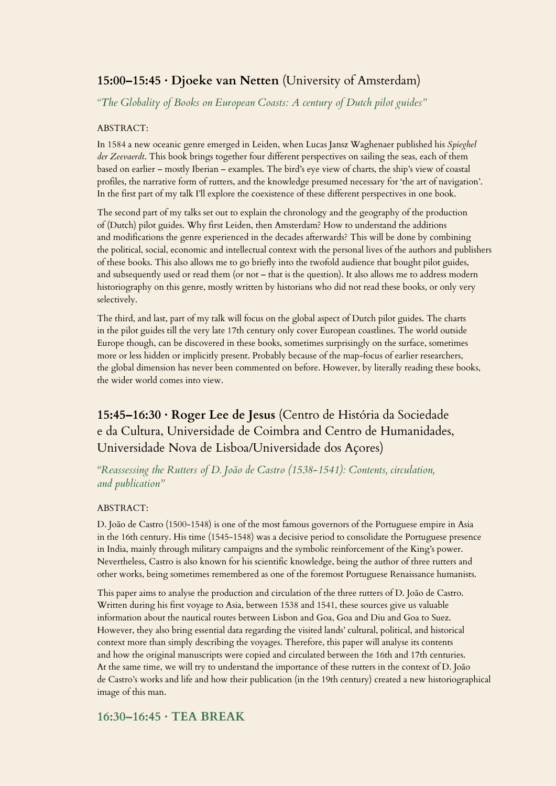## **15:00–15:45 · Djoeke van Netten** (University of Amsterdam)

*"The Globality of Books on European Coasts: A century of Dutch pilot guides"*

#### ABSTRACT:

In 1584 a new oceanic genre emerged in Leiden, when Lucas Jansz Waghenaer published his *Spieghel der Zeevaerdt*. This book brings together four different perspectives on sailing the seas, each of them based on earlier – mostly Iberian – examples. The bird's eye view of charts, the ship's view of coastal profiles, the narrative form of rutters, and the knowledge presumed necessary for 'the art of navigation'. In the first part of my talk I'll explore the coexistence of these different perspectives in one book.

The second part of my talks set out to explain the chronology and the geography of the production of (Dutch) pilot guides. Why first Leiden, then Amsterdam? How to understand the additions and modifications the genre experienced in the decades afterwards? This will be done by combining the political, social, economic and intellectual context with the personal lives of the authors and publishers of these books. This also allows me to go briefly into the twofold audience that bought pilot guides, and subsequently used or read them (or not – that is the question). It also allows me to address modern historiography on this genre, mostly written by historians who did not read these books, or only very selectively.

The third, and last, part of my talk will focus on the global aspect of Dutch pilot guides. The charts in the pilot guides till the very late 17th century only cover European coastlines. The world outside Europe though, can be discovered in these books, sometimes surprisingly on the surface, sometimes more or less hidden or implicitly present. Probably because of the map-focus of earlier researchers, the global dimension has never been commented on before. However, by literally reading these books, the wider world comes into view.

## **15:45–16:30 · Roger Lee de Jesus** (Centro de História da Sociedade e da Cultura, Universidade de Coimbra and Centro de Humanidades, Universidade Nova de Lisboa/Universidade dos Açores)

*"Reassessing the Rutters of D. João de Castro (1538-1541): Contents, circulation, and publication"*

#### ABSTRACT:

D. João de Castro (1500-1548) is one of the most famous governors of the Portuguese empire in Asia in the 16th century. His time (1545-1548) was a decisive period to consolidate the Portuguese presence in India, mainly through military campaigns and the symbolic reinforcement of the King's power. Nevertheless, Castro is also known for his scientific knowledge, being the author of three rutters and other works, being sometimes remembered as one of the foremost Portuguese Renaissance humanists.

This paper aims to analyse the production and circulation of the three rutters of D. João de Castro. Written during his first voyage to Asia, between 1538 and 1541, these sources give us valuable information about the nautical routes between Lisbon and Goa, Goa and Diu and Goa to Suez. However, they also bring essential data regarding the visited lands' cultural, political, and historical context more than simply describing the voyages. Therefore, this paper will analyse its contents and how the original manuscripts were copied and circulated between the 16th and 17th centuries. At the same time, we will try to understand the importance of these rutters in the context of D. João de Castro's works and life and how their publication (in the 19th century) created a new historiographical image of this man.

### **16:30–16:45 · TEA BREAK**